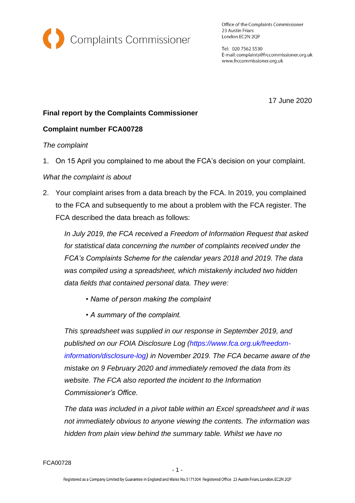

Office of the Complaints Commissioner 23 Austin Friars London EC2N 2QP

Tel: 020 7562 5530 E-mail: complaints@frccommissioner.org.uk www.frccommissioner.org.uk

17 June 2020

## **Final report by the Complaints Commissioner**

## **Complaint number FCA00728**

#### *The complaint*

1. On 15 April you complained to me about the FCA's decision on your complaint.

### *What the complaint is about*

2. Your complaint arises from a data breach by the FCA. In 2019, you complained to the FCA and subsequently to me about a problem with the FCA register. The FCA described the data breach as follows:

*In July 2019, the FCA received a Freedom of Information Request that asked for statistical data concerning the number of complaints received under the FCA's Complaints Scheme for the calendar years 2018 and 2019. The data was compiled using a spreadsheet, which mistakenly included two hidden data fields that contained personal data. They were:*

- *Name of person making the complaint*
- *A summary of the complaint.*

*This spreadsheet was supplied in our response in September 2019, and published on our FOIA Disclosure Log (https://www.fca.org.uk/freedominformation/disclosure-log) in November 2019. The FCA became aware of the mistake on 9 February 2020 and immediately removed the data from its website. The FCA also reported the incident to the Information Commissioner's Office.*

*The data was included in a pivot table within an Excel spreadsheet and it was not immediately obvious to anyone viewing the contents. The information was hidden from plain view behind the summary table. Whilst we have no*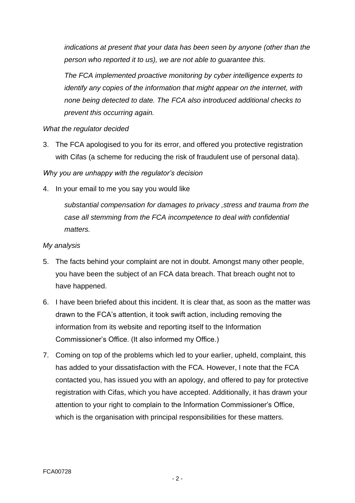*indications at present that your data has been seen by anyone (other than the person who reported it to us), we are not able to guarantee this.*

*The FCA implemented proactive monitoring by cyber intelligence experts to identify any copies of the information that might appear on the internet, with none being detected to date. The FCA also introduced additional checks to prevent this occurring again.*

## *What the regulator decided*

3. The FCA apologised to you for its error, and offered you protective registration with Cifas (a scheme for reducing the risk of fraudulent use of personal data).

*Why you are unhappy with the regulator's decision*

4. In your email to me you say you would like

*substantial compensation for damages to privacy ,stress and trauma from the case all stemming from the FCA incompetence to deal with confidential matters.*

# *My analysis*

- 5. The facts behind your complaint are not in doubt. Amongst many other people, you have been the subject of an FCA data breach. That breach ought not to have happened.
- 6. I have been briefed about this incident. It is clear that, as soon as the matter was drawn to the FCA's attention, it took swift action, including removing the information from its website and reporting itself to the Information Commissioner's Office. (It also informed my Office.)
- 7. Coming on top of the problems which led to your earlier, upheld, complaint, this has added to your dissatisfaction with the FCA. However, I note that the FCA contacted you, has issued you with an apology, and offered to pay for protective registration with Cifas, which you have accepted. Additionally, it has drawn your attention to your right to complain to the Information Commissioner's Office, which is the organisation with principal responsibilities for these matters.